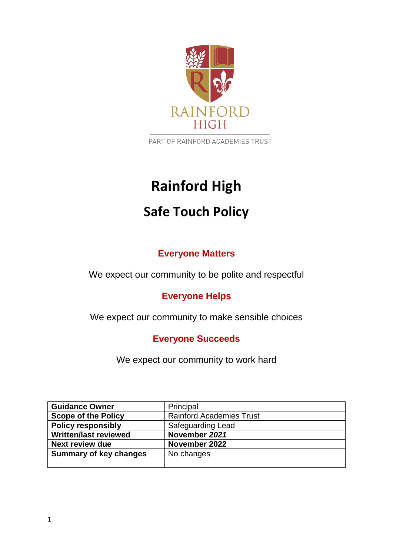

PART OF RAINFORD ACADEMIES TRUST

# **Rainford High**

## **Safe Touch Policy**

## **Everyone Matters**

We expect our community to be polite and respectful

## **Everyone Helps**

We expect our community to make sensible choices

### **Everyone Succeeds**

We expect our community to work hard

| <b>Guidance Owner</b>         | Principal                       |
|-------------------------------|---------------------------------|
| <b>Scope of the Policy</b>    | <b>Rainford Academies Trust</b> |
| <b>Policy responsibly</b>     | Safeguarding Lead               |
| <b>Written/last reviewed</b>  | November 2021                   |
| <b>Next review due</b>        | November 2022                   |
| <b>Summary of key changes</b> | No changes                      |
|                               |                                 |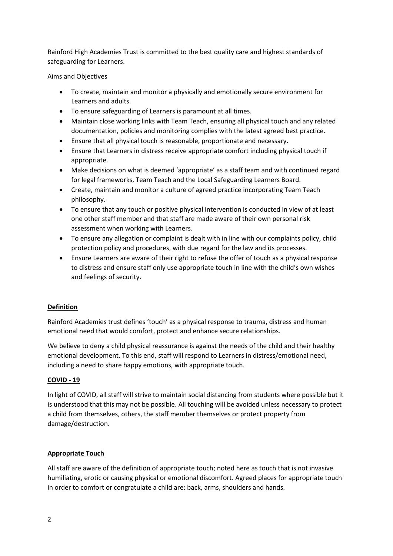Rainford High Academies Trust is committed to the best quality care and highest standards of safeguarding for Learners.

Aims and Objectives

- To create, maintain and monitor a physically and emotionally secure environment for Learners and adults.
- To ensure safeguarding of Learners is paramount at all times.
- Maintain close working links with Team Teach, ensuring all physical touch and any related documentation, policies and monitoring complies with the latest agreed best practice.
- Ensure that all physical touch is reasonable, proportionate and necessary.
- Ensure that Learners in distress receive appropriate comfort including physical touch if appropriate.
- Make decisions on what is deemed 'appropriate' as a staff team and with continued regard for legal frameworks, Team Teach and the Local Safeguarding Learners Board.
- Create, maintain and monitor a culture of agreed practice incorporating Team Teach philosophy.
- To ensure that any touch or positive physical intervention is conducted in view of at least one other staff member and that staff are made aware of their own personal risk assessment when working with Learners.
- To ensure any allegation or complaint is dealt with in line with our complaints policy, child protection policy and procedures, with due regard for the law and its processes.
- Ensure Learners are aware of their right to refuse the offer of touch as a physical response to distress and ensure staff only use appropriate touch in line with the child's own wishes and feelings of security.

#### **Definition**

Rainford Academies trust defines 'touch' as a physical response to trauma, distress and human emotional need that would comfort, protect and enhance secure relationships.

We believe to deny a child physical reassurance is against the needs of the child and their healthy emotional development. To this end, staff will respond to Learners in distress/emotional need, including a need to share happy emotions, with appropriate touch.

#### **COVID - 19**

In light of COVID, all staff will strive to maintain social distancing from students where possible but it is understood that this may not be possible. All touching will be avoided unless necessary to protect a child from themselves, others, the staff member themselves or protect property from damage/destruction.

#### **Appropriate Touch**

All staff are aware of the definition of appropriate touch; noted here as touch that is not invasive humiliating, erotic or causing physical or emotional discomfort. Agreed places for appropriate touch in order to comfort or congratulate a child are: back, arms, shoulders and hands.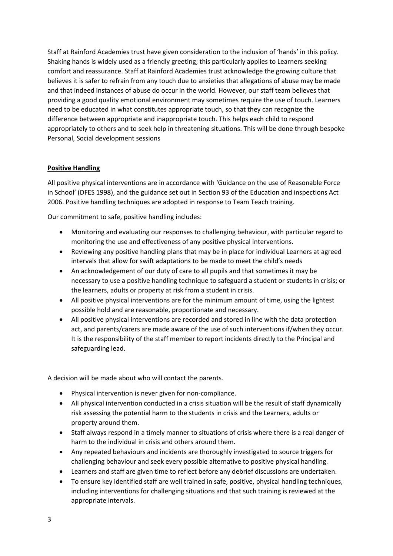Staff at Rainford Academies trust have given consideration to the inclusion of 'hands' in this policy. Shaking hands is widely used as a friendly greeting; this particularly applies to Learners seeking comfort and reassurance. Staff at Rainford Academies trust acknowledge the growing culture that believes it is safer to refrain from any touch due to anxieties that allegations of abuse may be made and that indeed instances of abuse do occur in the world. However, our staff team believes that providing a good quality emotional environment may sometimes require the use of touch. Learners need to be educated in what constitutes appropriate touch, so that they can recognize the difference between appropriate and inappropriate touch. This helps each child to respond appropriately to others and to seek help in threatening situations. This will be done through bespoke Personal, Social development sessions

#### **Positive Handling**

All positive physical interventions are in accordance with 'Guidance on the use of Reasonable Force in School' (DFES 1998), and the guidance set out in Section 93 of the Education and inspections Act 2006. Positive handling techniques are adopted in response to Team Teach training.

Our commitment to safe, positive handling includes:

- Monitoring and evaluating our responses to challenging behaviour, with particular regard to monitoring the use and effectiveness of any positive physical interventions.
- Reviewing any positive handling plans that may be in place for individual Learners at agreed intervals that allow for swift adaptations to be made to meet the child's needs
- An acknowledgement of our duty of care to all pupils and that sometimes it may be necessary to use a positive handling technique to safeguard a student or students in crisis; or the learners, adults or property at risk from a student in crisis.
- All positive physical interventions are for the minimum amount of time, using the lightest possible hold and are reasonable, proportionate and necessary.
- All positive physical interventions are recorded and stored in line with the data protection act, and parents/carers are made aware of the use of such interventions if/when they occur. It is the responsibility of the staff member to report incidents directly to the Principal and safeguarding lead.

A decision will be made about who will contact the parents.

- Physical intervention is never given for non-compliance.
- All physical intervention conducted in a crisis situation will be the result of staff dynamically risk assessing the potential harm to the students in crisis and the Learners, adults or property around them.
- Staff always respond in a timely manner to situations of crisis where there is a real danger of harm to the individual in crisis and others around them.
- Any repeated behaviours and incidents are thoroughly investigated to source triggers for challenging behaviour and seek every possible alternative to positive physical handling.
- Learners and staff are given time to reflect before any debrief discussions are undertaken.
- To ensure key identified staff are well trained in safe, positive, physical handling techniques, including interventions for challenging situations and that such training is reviewed at the appropriate intervals.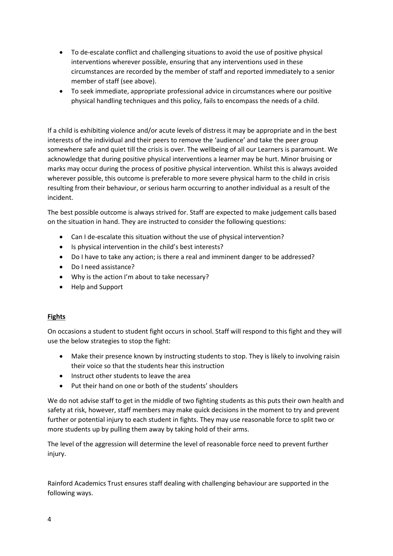- To de-escalate conflict and challenging situations to avoid the use of positive physical interventions wherever possible, ensuring that any interventions used in these circumstances are recorded by the member of staff and reported immediately to a senior member of staff (see above).
- To seek immediate, appropriate professional advice in circumstances where our positive physical handling techniques and this policy, fails to encompass the needs of a child.

If a child is exhibiting violence and/or acute levels of distress it may be appropriate and in the best interests of the individual and their peers to remove the 'audience' and take the peer group somewhere safe and quiet till the crisis is over. The wellbeing of all our Learners is paramount. We acknowledge that during positive physical interventions a learner may be hurt. Minor bruising or marks may occur during the process of positive physical intervention. Whilst this is always avoided wherever possible, this outcome is preferable to more severe physical harm to the child in crisis resulting from their behaviour, or serious harm occurring to another individual as a result of the incident.

The best possible outcome is always strived for. Staff are expected to make judgement calls based on the situation in hand. They are instructed to consider the following questions:

- Can I de-escalate this situation without the use of physical intervention?
- Is physical intervention in the child's best interests?
- Do I have to take any action; is there a real and imminent danger to be addressed?
- Do I need assistance?
- Why is the action I'm about to take necessary?
- Help and Support

#### **Fights**

On occasions a student to student fight occurs in school. Staff will respond to this fight and they will use the below strategies to stop the fight:

- Make their presence known by instructing students to stop. They is likely to involving raisin their voice so that the students hear this instruction
- Instruct other students to leave the area
- Put their hand on one or both of the students' shoulders

We do not advise staff to get in the middle of two fighting students as this puts their own health and safety at risk, however, staff members may make quick decisions in the moment to try and prevent further or potential injury to each student in fights. They may use reasonable force to split two or more students up by pulling them away by taking hold of their arms.

The level of the aggression will determine the level of reasonable force need to prevent further injury.

Rainford Academics Trust ensures staff dealing with challenging behaviour are supported in the following ways.